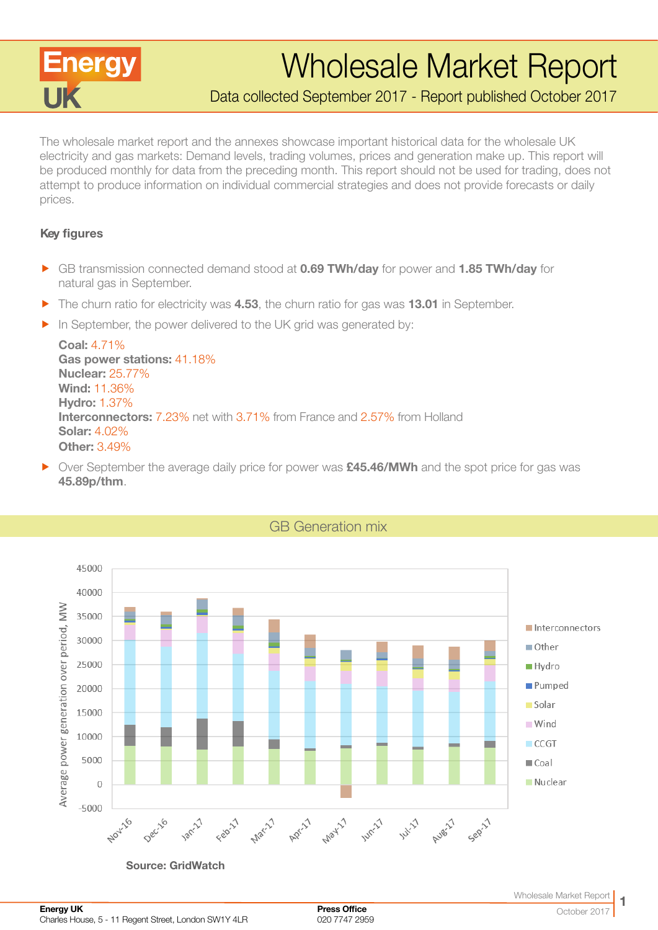

# Wholesale Market Report

Data collected September 2017 - Report published October 2017

The wholesale market report and the annexes showcase important historical data for the wholesale UK electricity and gas markets: Demand levels, trading volumes, prices and generation make up. This report will be produced monthly for data from the preceding month. This report should not be used for trading, does not attempt to produce information on individual commercial strategies and does not provide forecasts or daily prices.

### Key figures

- **F** GB transmission connected demand stood at **0.69 TWh/day** for power and **1.85 TWh/day** for natural gas in September.
- $\blacktriangleright$  The churn ratio for electricity was 4.53, the churn ratio for gas was 13.01 in September.
- $\blacktriangleright$  In September, the power delivered to the UK grid was generated by:

Coal: 4.71% Gas power stations: 41.18% Nuclear: 25.77% Wind: 11.36% Hydro: 1.37% Interconnectors: 7.23% net with 3.71% from France and 2.57% from Holland Solar: 4.02% Other: 3.49%

▶ Over September the average daily price for power was £45.46/MWh and the spot price for gas was 45.89p/thm.



GB Generation mix

Source: GridWatch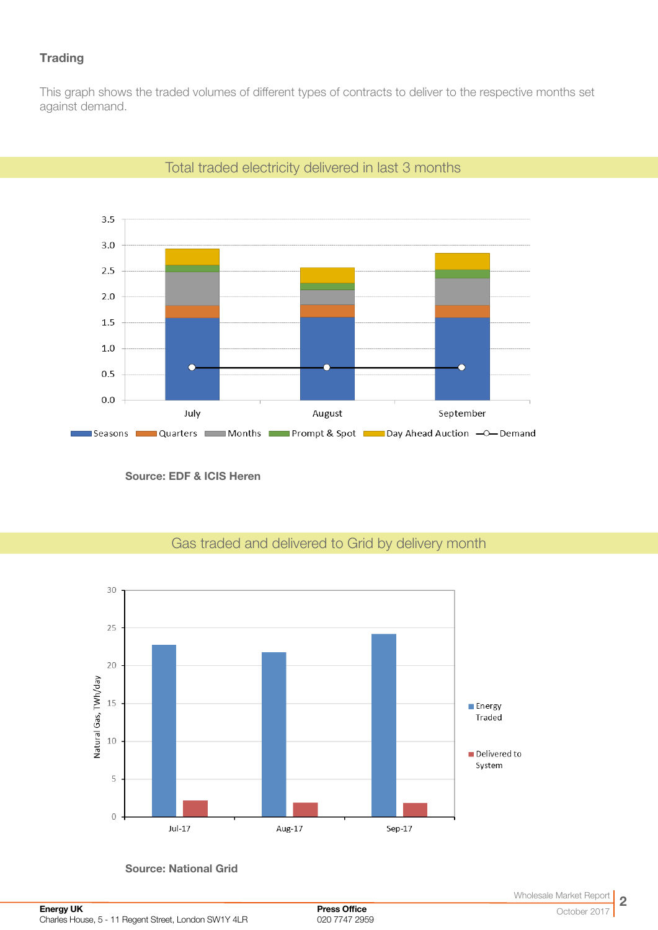## **Trading**

This graph shows the traded volumes of different types of contracts to deliver to the respective months set against demand.



## Total traded electricity delivered in last 3 months

Source: EDF & ICIS Heren

# Gas traded and delivered to Grid by delivery month



Source: National Grid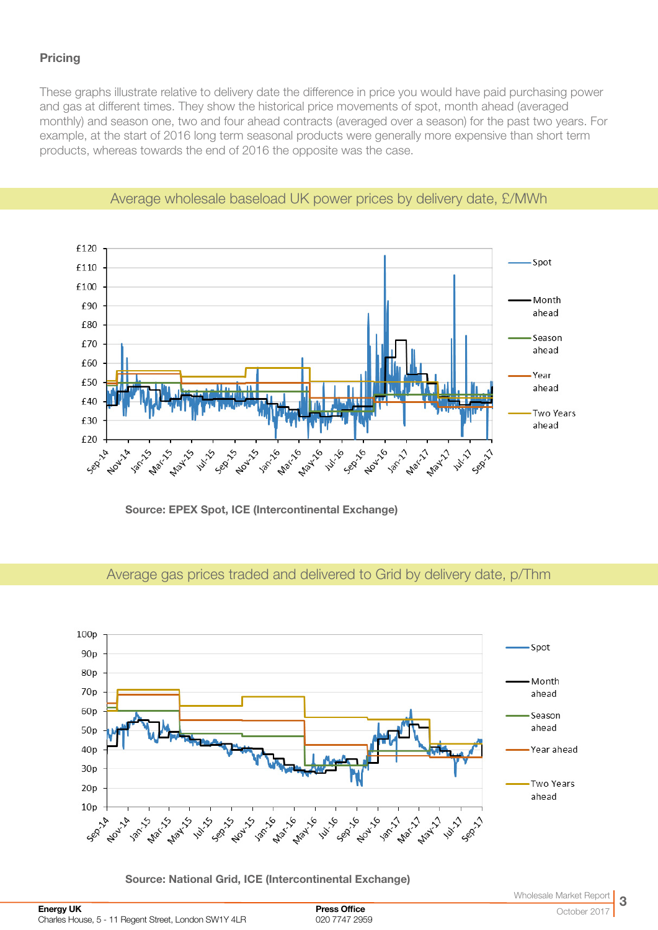## **Pricing**

These graphs illustrate relative to delivery date the difference in price you would have paid purchasing power and gas at different times. They show the historical price movements of spot, month ahead (averaged monthly) and season one, two and four ahead contracts (averaged over a season) for the past two years. For example, at the start of 2016 long term seasonal products were generally more expensive than short term products, whereas towards the end of 2016 the opposite was the case.



## Average wholesale baseload UK power prices by delivery date, £/MWh

Source: EPEX Spot, ICE (Intercontinental Exchange)

## Average gas prices traded and delivered to Grid by delivery date, p/Thm



Source: National Grid, ICE (Intercontinental Exchange)

Press Office 020 7747 2959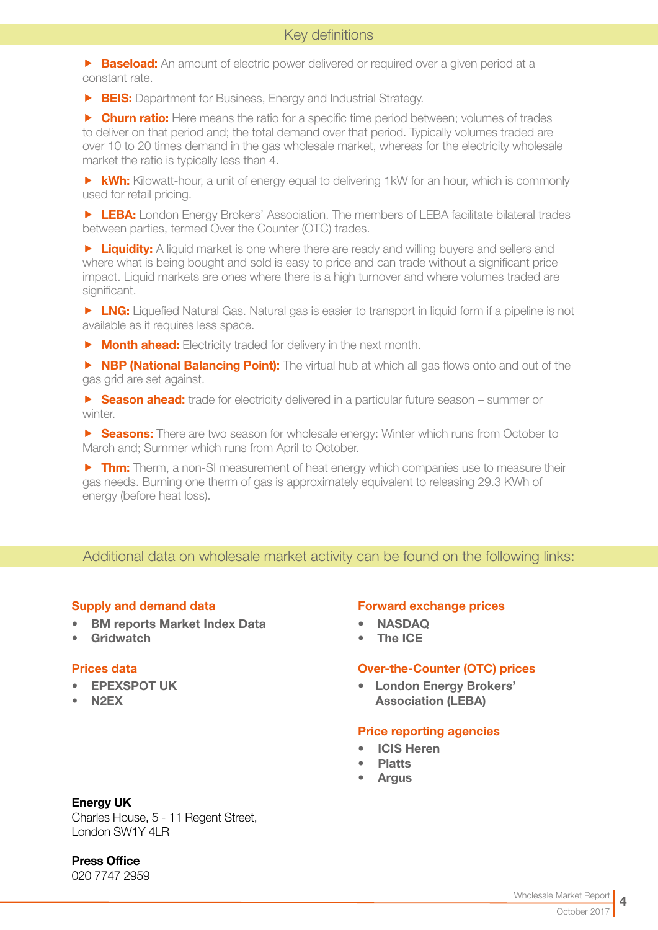**Baseload:** An amount of electric power delivered or required over a given period at a constant rate.

**FIS:** Department for Business, Energy and Industrial Strategy.

**F** Churn ratio: Here means the ratio for a specific time period between; volumes of trades to deliver on that period and; the total demand over that period. Typically volumes traded are over 10 to 20 times demand in the gas wholesale market, whereas for the electricity wholesale market the ratio is typically less than 4.

 $\triangleright$  **kWh:** Kilowatt-hour, a unit of energy equal to delivering 1kW for an hour, which is commonly used for retail pricing.

**F LEBA:** London Energy Brokers' Association. The members of LEBA facilitate bilateral trades between parties, termed Over the Counter (OTC) trades.

**F** Liquidity: A liquid market is one where there are ready and willing buyers and sellers and where what is being bought and sold is easy to price and can trade without a significant price impact. Liquid markets are ones where there is a high turnover and where volumes traded are significant.

**F LNG:** Liquefied Natural Gas. Natural gas is easier to transport in liquid form if a pipeline is not available as it requires less space.

 $\triangleright$  **Month ahead:** Electricity traded for delivery in the next month.

**F NBP (National Balancing Point):** The virtual hub at which all gas flows onto and out of the gas grid are set against.

**F** Season ahead: trade for electricity delivered in a particular future season – summer or winter.

**F** Seasons: There are two season for wholesale energy: Winter which runs from October to March and; Summer which runs from April to October.

 $\triangleright$  Thm: Therm, a non-SI measurement of heat energy which companies use to measure their gas needs. Burning one therm of gas is approximately equivalent to releasing 29.3 KWh of energy (before heat loss).

## Additional data on wholesale market activity can be found on the following links:

#### Supply and demand data

- [BM reports Market Index Data](http://www.bmreports.com/bwh_Mid.html
)
- [Gridwatch](http://www.gridwatch.templar.co.uk/index.php )

#### Prices data

- [EPEXSPOT UK](http://www.epexspot.com/en/)
- [N2EX](http://www.n2ex.com/marketdata )

#### Forward exchange prices

- [NASDAQ](http://www.nasdaqomx.com/commodities/markets/marketprices )
- [The ICE](http://www.theice.com/marketdata/reports/ReportCenter.shtml#report/10 )

#### Over-the-Counter (OTC) prices

• [London Energy Brokers'](http://www.leba.org.uk/pages/index.cfm?page_id=41&title=uk_power_prompt )  [Association \(LEBA\)](http://www.leba.org.uk/pages/index.cfm?page_id=41&title=uk_power_prompt )

#### Price reporting agencies

- [ICIS Heren](http://www.icis.com/heren)
- **[Platts](http://www.platts.com)**
- **[Argus](http://www.argusmedia.com/Power)**

#### Energy UK

Charles House, 5 - 11 Regent Street, London SW1Y 4LR

Press Office

020 7747 2959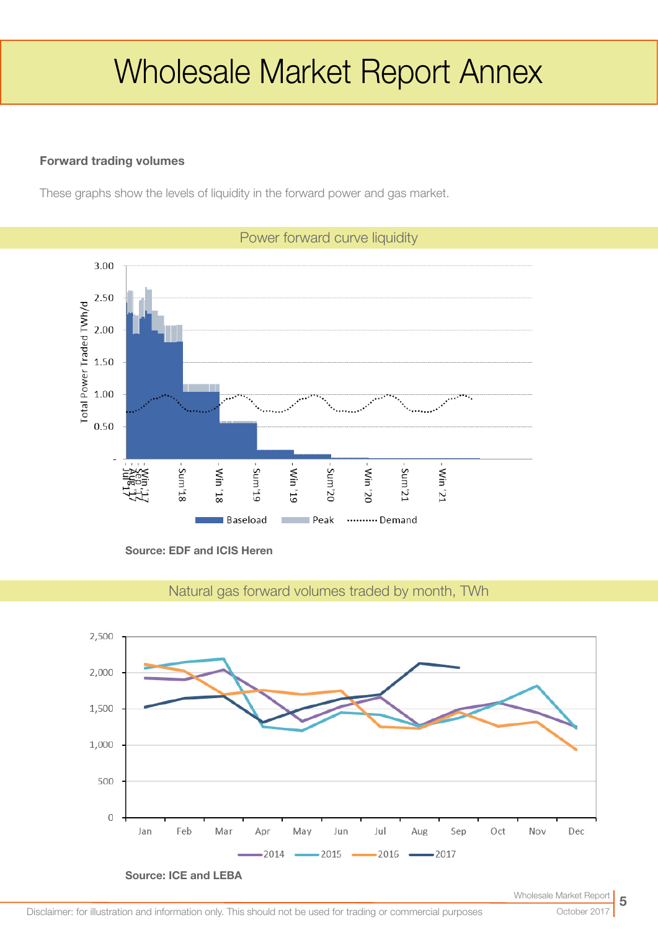# Wholesale Market Report Annex

## Forward trading volumes

These graphs show the levels of liquidity in the forward power and gas market.



Source: EDF and ICIS Heren



Natural gas forward volumes traded by month, TWh

October 2017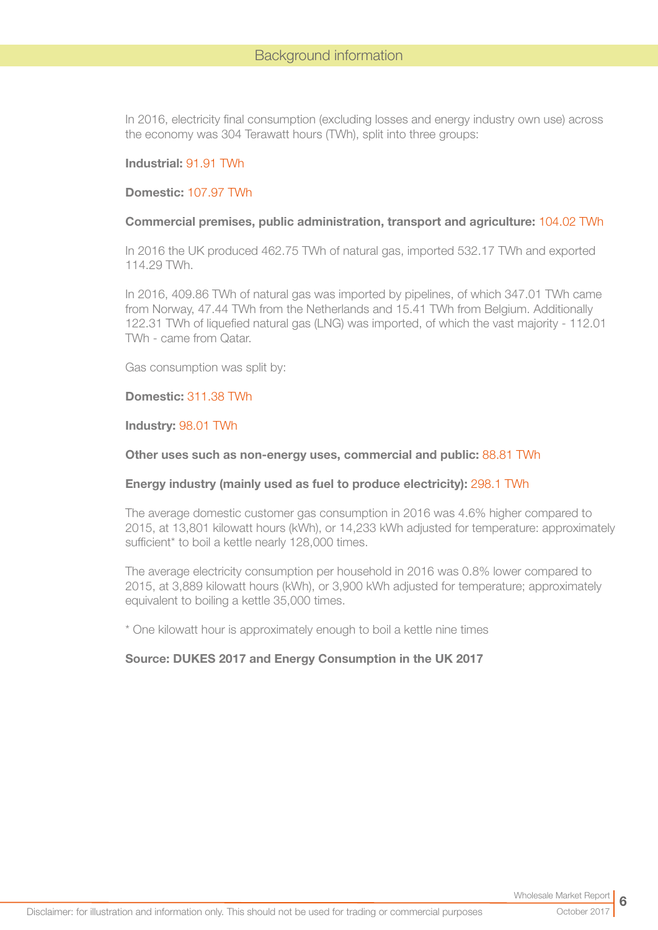In 2016, electricity final consumption (excluding losses and energy industry own use) across the economy was 304 Terawatt hours (TWh), split into three groups:

#### Industrial: 91.91 TWh

#### Domestic: 107.97 TWh

#### Commercial premises, public administration, transport and agriculture: 104.02 TWh

In 2016 the UK produced 462.75 TWh of natural gas, imported 532.17 TWh and exported 114.29 TWh.

In 2016, 409.86 TWh of natural gas was imported by pipelines, of which 347.01 TWh came from Norway, 47.44 TWh from the Netherlands and 15.41 TWh from Belgium. Additionally 122.31 TWh of liquefied natural gas (LNG) was imported, of which the vast majority - 112.01 TWh - came from Qatar.

Gas consumption was split by:

#### Domestic: 311.38 TWh

Industry: 98.01 TWh

#### Other uses such as non-energy uses, commercial and public: 88.81 TWh

#### Energy industry (mainly used as fuel to produce electricity): 298.1 TWh

The average domestic customer gas consumption in 2016 was 4.6% higher compared to 2015, at 13,801 kilowatt hours (kWh), or 14,233 kWh adjusted for temperature: approximately sufficient\* to boil a kettle nearly 128,000 times.

The average electricity consumption per household in 2016 was 0.8% lower compared to 2015, at 3,889 kilowatt hours (kWh), or 3,900 kWh adjusted for temperature; approximately equivalent to boiling a kettle 35,000 times.

\* One kilowatt hour is approximately enough to boil a kettle nine times

#### Source: DUKES 2017 and Energy Consumption in the UK 2017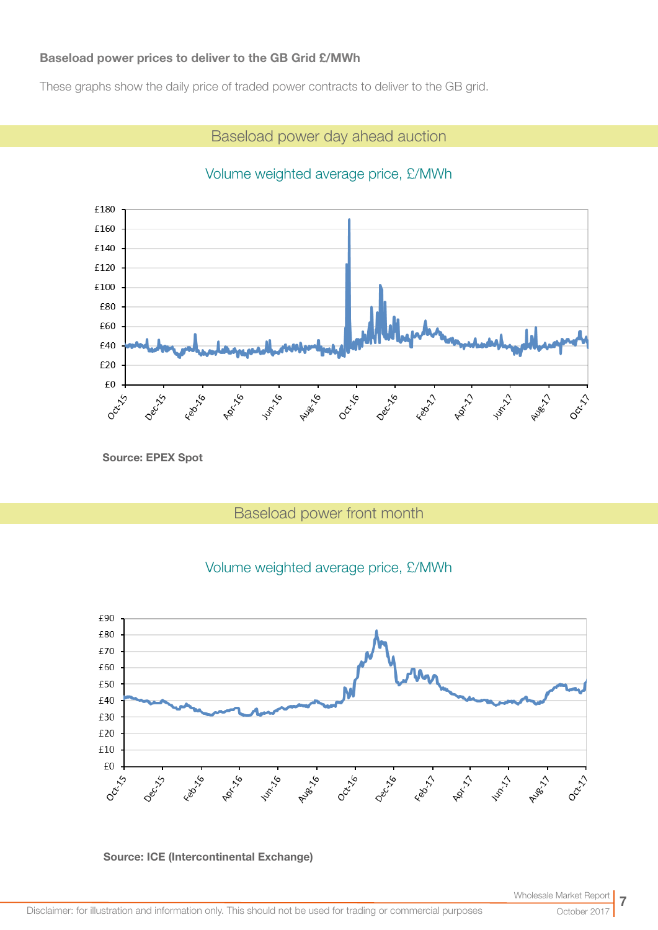### Baseload power prices to deliver to the GB Grid £/MWh

These graphs show the daily price of traded power contracts to deliver to the GB grid.

# Baseload power day ahead auction

# Volume weighted average price, £/MWh



Source: EPEX Spot

# Baseload power front month





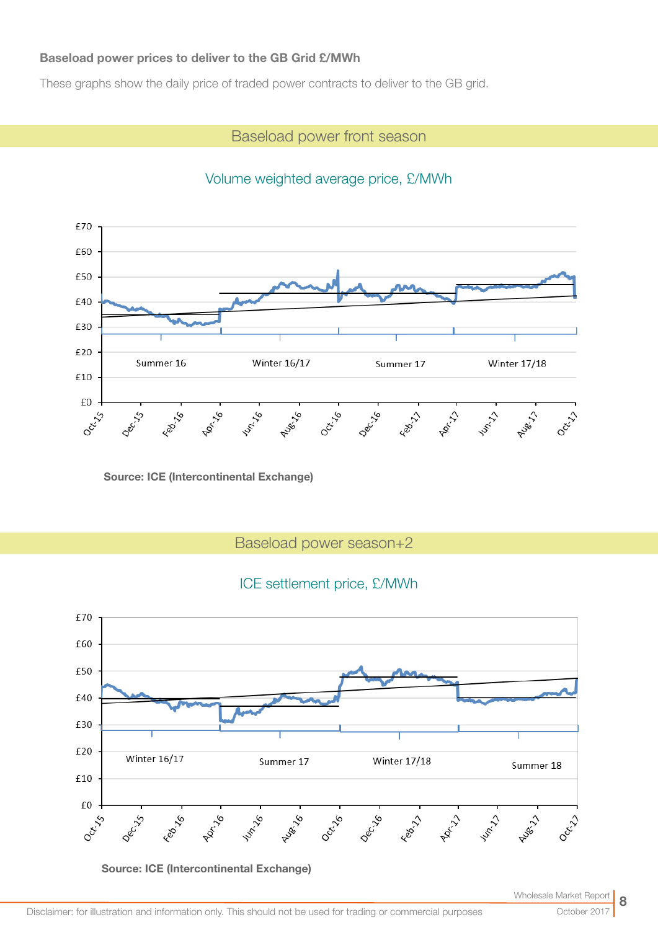## Baseload power prices to deliver to the GB Grid £/MWh

These graphs show the daily price of traded power contracts to deliver to the GB grid.

## Baseload power front season



# Volume weighted average price, £/MWh

Source: ICE (Intercontinental Exchange)

Baseload power season+2

## ICE settlement price, £/MWh



Source: ICE (Intercontinental Exchange)

October 20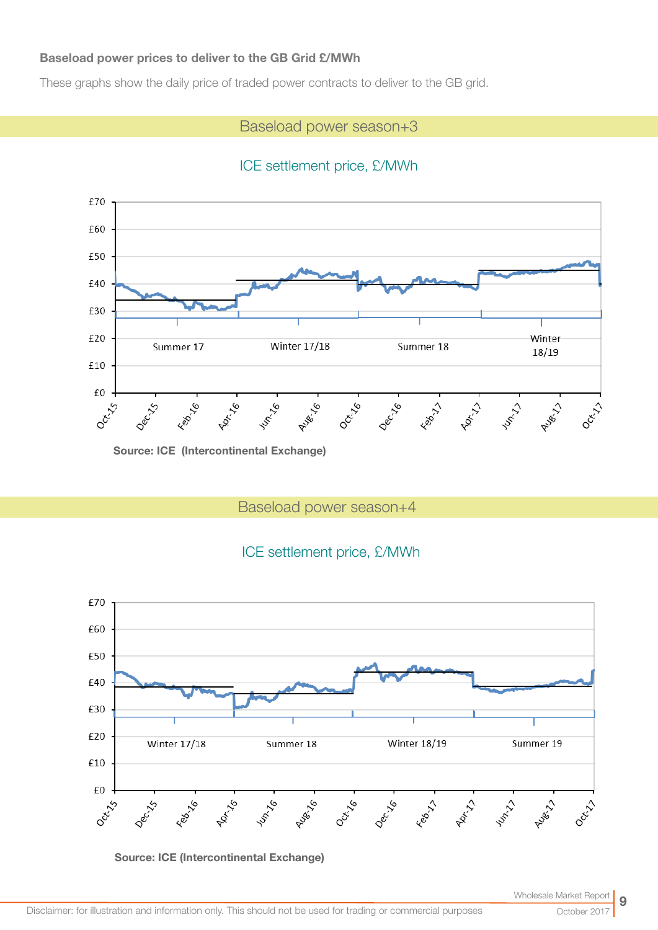## Baseload power prices to deliver to the GB Grid £/MWh

These graphs show the daily price of traded power contracts to deliver to the GB grid.

# Baseload power season+3

# ICE settlement price, £/MWh



Source: ICE (Intercontinental Exchange)

Baseload power season+4

# ICE settlement price, £/MWh



Source: ICE (Intercontinental Exchange)

October 20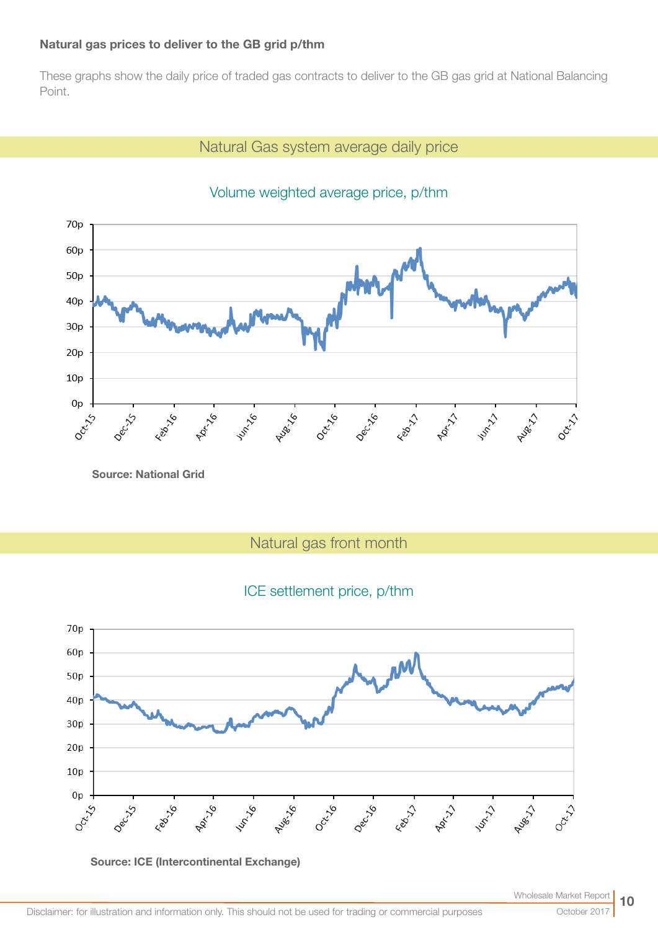## Natural gas prices to deliver to the GB grid p/thm

These graphs show the daily price of traded gas contracts to deliver to the GB gas grid at National Balancing Point.

# Natural Gas system average daily price



# Volume weighted average price, p/thm

Source: National Grid

Natural gas front month

# ICE settlement price, p/thm



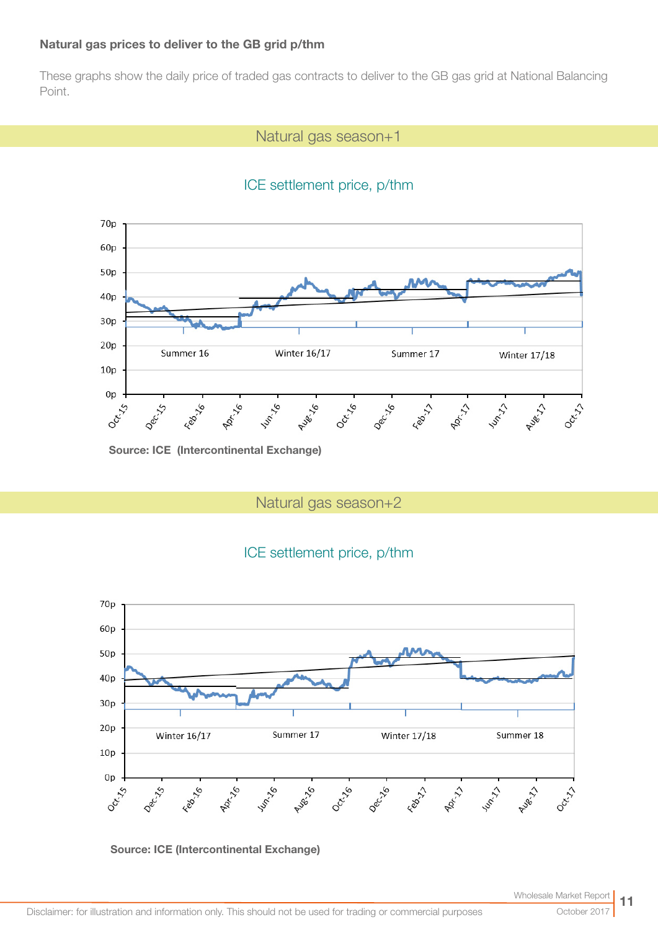### Natural gas prices to deliver to the GB grid p/thm

These graphs show the daily price of traded gas contracts to deliver to the GB gas grid at National Balancing Point.

## Natural gas season+1





Source: ICE (Intercontinental Exchange)

Natural gas season+2





#### Source: ICE (Intercontinental Exchange)